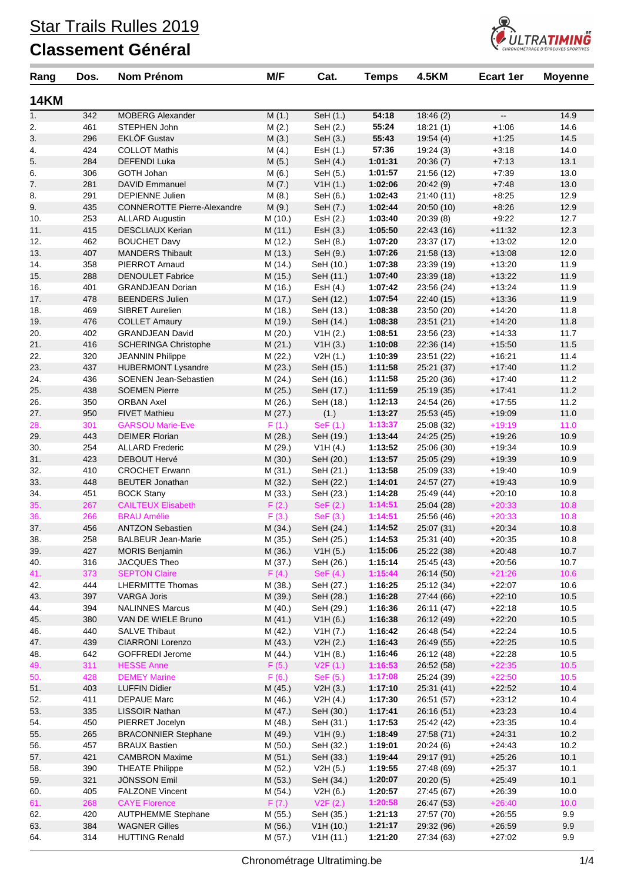

| Rang        | Dos.       | <b>Nom Prénom</b>                              | M/F                | Cat.                    | <b>Temps</b>       | <b>4.5KM</b>             | <b>Ecart 1er</b>         | <b>Moyenne</b> |
|-------------|------------|------------------------------------------------|--------------------|-------------------------|--------------------|--------------------------|--------------------------|----------------|
| <b>14KM</b> |            |                                                |                    |                         |                    |                          |                          |                |
| 1.          | 342        | <b>MOBERG Alexander</b>                        | M(1.)              | SeH (1.)                | 54:18              | 18:46(2)                 | $\overline{\phantom{a}}$ | 14.9           |
| 2.          | 461        | STEPHEN John                                   | M(2.)              | SeH (2.)                | 55:24              | 18:21(1)                 | $+1:06$                  | 14.6           |
| 3.          | 296        | <b>EKLÖF Gustav</b>                            | M(3.)              | SeH (3.)                | 55:43              | 19:54(4)                 | $+1:25$                  | 14.5           |
| 4.          | 424        | <b>COLLOT Mathis</b>                           | M(4.)              | Est (1.)                | 57:36              | 19:24(3)                 | $+3:18$                  | 14.0           |
| 5.          | 284        | <b>DEFENDI Luka</b>                            | M(5.)              | SeH (4.)                | 1:01:31            | 20:36(7)                 | $+7:13$                  | 13.1           |
| 6.          | 306        | GOTH Johan                                     | M (6.)             | SeH (5.)                | 1:01:57            | 21:56 (12)               | $+7:39$                  | 13.0           |
| 7.          | 281        | DAVID Emmanuel                                 | M(7.)              | V1H(1.)                 | 1:02:06            | 20:42(9)                 | $+7:48$                  | 13.0           |
| 8.          | 291        | <b>DEPIENNE Julien</b>                         | M(8.)              | SeH (6.)                | 1:02:43            | 21:40(11)                | $+8:25$                  | 12.9           |
| 9.          | 435        | <b>CONNEROTTE Pierre-Alexandre</b>             | M (9.)             | SeH (7.)                | 1:02:44            | 20:50 (10)               | $+8.26$                  | 12.9           |
| 10.         | 253        | <b>ALLARD Augustin</b>                         | M (10.)            | EsH (2.)                | 1:03:40            | 20:39(8)                 | $+9.22$                  | 12.7           |
| 11.         | 415        | <b>DESCLIAUX Kerian</b>                        | M(11.)             | Est (3.)                | 1:05:50<br>1:07:20 | 22:43 (16)               | $+11:32$                 | 12.3           |
| 12.<br>13.  | 462<br>407 | <b>BOUCHET Davy</b><br><b>MANDERS Thibault</b> | M (12.)<br>M (13.) | SeH (8.)<br>SeH (9.)    | 1:07:26            | 23:37 (17)<br>21:58(13)  | $+13.02$<br>$+13:08$     | 12.0<br>12.0   |
| 14.         | 358        | PIERROT Arnaud                                 | M (14.)            | SeH (10.)               | 1:07:38            | 23:39 (19)               | $+13:20$                 | 11.9           |
| 15.         | 288        | <b>DENOULET Fabrice</b>                        | M (15.)            | SeH (11.)               | 1:07:40            | 23:39 (18)               | $+13:22$                 | 11.9           |
| 16.         | 401        | <b>GRANDJEAN Dorian</b>                        | M (16.)            | Est (4.)                | 1:07:42            | 23:56 (24)               | $+13.24$                 | 11.9           |
| 17.         | 478        | <b>BEENDERS Julien</b>                         | M (17.)            | SeH (12.)               | 1:07:54            | 22:40 (15)               | $+13:36$                 | 11.9           |
| 18.         | 469        | <b>SIBRET Aurelien</b>                         | M (18.)            | SeH (13.)               | 1:08:38            | 23:50 (20)               | $+14.20$                 | 11.8           |
| 19.         | 476        | <b>COLLET Amaury</b>                           | M (19.)            | SeH (14.)               | 1:08:38            | 23:51(21)                | $+14.20$                 | 11.8           |
| 20.         | 402        | <b>GRANDJEAN David</b>                         | M (20.)            | V1H(2.)                 | 1:08:51            | 23:56 (23)               | $+14:33$                 | 11.7           |
| 21.         | 416        | <b>SCHERINGA Christophe</b>                    | M(21.)             | V1H(3.)                 | 1:10:08            | 22:36 (14)               | $+15:50$                 | 11.5           |
| 22.         | 320        | <b>JEANNIN Philippe</b>                        | M (22.)            | V2H(1.)                 | 1:10:39            | 23:51 (22)               | $+16:21$                 | 11.4           |
| 23.         | 437        | <b>HUBERMONT Lysandre</b>                      | M (23.)            | SeH (15.)               | 1:11:58            | 25:21 (37)               | $+17:40$                 | 11.2           |
| 24.         | 436        | SOENEN Jean-Sebastien                          | M (24.)            | SeH (16.)               | 1:11:58            | 25:20 (36)               | $+17:40$                 | 11.2           |
| 25.         | 438        | <b>SOEMEN Pierre</b>                           | M (25.)            | SeH (17.)               | 1:11:59            | 25:19 (35)               | $+17:41$                 | 11.2           |
| 26.         | 350        | <b>ORBAN Axel</b>                              | M (26.)            | SeH (18.)               | 1:12:13            | 24:54 (26)               | $+17:55$                 | 11.2           |
| 27.         | 950        | <b>FIVET Mathieu</b>                           | M (27.)            | (1.)                    | 1:13:27            | 25:53 (45)               | $+19:09$                 | 11.0           |
| 28.         | 301        | <b>GARSOU Marie-Eve</b>                        | F(1.)              | SeF(1.)                 | 1:13:37            | 25:08 (32)               | $+19:19$                 | 11.0           |
| 29.         | 443        | <b>DEIMER Florian</b>                          | M (28.)            | SeH (19.)               | 1:13:44            | 24:25 (25)               | $+19.26$                 | 10.9           |
| 30.         | 254        | <b>ALLARD Frederic</b>                         | M (29.)            | V1H(4.)                 | 1:13:52            | 25:06 (30)               | $+19.34$                 | 10.9           |
| 31.         | 423        | DEBOUT Hervé                                   | M (30.)            | SeH (20.)               | 1:13:57            | 25:05 (29)               | $+19.39$                 | 10.9           |
| 32.         | 410        | <b>CROCHET Erwann</b>                          | M (31.)            | SeH (21.)               | 1:13:58            | 25:09 (33)               | $+19:40$                 | 10.9           |
| 33.         | 448        | <b>BEUTER Jonathan</b>                         | M (32.)            | SeH (22.)               | 1:14:01            | 24:57 (27)               | $+19:43$                 | 10.9           |
| 34.         | 451        | <b>BOCK Stany</b>                              | M (33.)            | SeH (23.)               | 1:14:28            | 25:49 (44)               | $+20:10$                 | 10.8           |
| 35.         | 267        | <b>CAILTEUX Elisabeth</b>                      | F(2.)              | SeF (2.)                | 1:14:51            | 25:04 (28)               | $+20:33$                 | 10.8           |
| 36.         | 266        | <b>BRAU Amélie</b>                             | F(3.)              | SeF (3.)                | 1:14:51            | 25:56 (46)               | $+20:33$                 | 10.8           |
| 37.         | 456        | <b>ANTZON Sebastien</b>                        | M (34.)            | SeH (24.)               | 1:14:52            | 25:07 (31)               | $+20.34$                 | 10.8           |
| 38.         | 258        | <b>BALBEUR Jean-Marie</b>                      | M (35.)            | SeH (25.)               | 1:14:53            | 25:31 (40)               | $+20:35$                 | 10.8           |
| 39.<br>40.  | 427<br>316 | <b>MORIS Benjamin</b><br>JACQUES Theo          | M (36.)            | V1H(5.)                 | 1:15:06<br>1:15:14 | 25:22 (38)               | $+20:48$<br>$+20:56$     | 10.7<br>10.7   |
| 41.         | 373        | <b>SEPTON Claire</b>                           | M (37.)<br>F(4.)   | SeH (26.)<br>SeF $(4.)$ | 1:15:44            | 25:45 (43)<br>26:14 (50) | $+21:26$                 | 10.6           |
| 42.         | 444        | <b>LHERMITTE Thomas</b>                        | M (38.)            | SeH (27.)               | 1:16:25            | 25:12 (34)               | $+22:07$                 | 10.6           |
| 43.         | 397        | <b>VARGA Joris</b>                             | M (39.)            | SeH (28.)               | 1:16:28            | 27:44 (66)               | $+22:10$                 | $10.5$         |
| 44.         | 394        | <b>NALINNES Marcus</b>                         | M (40.)            | SeH (29.)               | 1:16:36            | 26:11 (47)               | $+22:18$                 | 10.5           |
| 45.         | 380        | VAN DE WIELE Bruno                             | M(41.)             | V1H(6.)                 | 1:16:38            | 26:12 (49)               | $+22:20$                 | $10.5$         |
| 46.         | 440        | <b>SALVE Thibaut</b>                           | M (42.)            | V1H (7.)                | 1:16:42            | 26:48 (54)               | $+22:24$                 | 10.5           |
| 47.         | 439        | CIARRONI Lorenzo                               | M(43.)             | V2H(2.)                 | 1:16:43            | 26:49 (55)               | $+22:25$                 | $10.5$         |
| 48.         | 642        | <b>GOFFREDI Jerome</b>                         | M (44.)            | V1H(8.)                 | 1:16:46            | 26:12 (48)               | $+22:28$                 | 10.5           |
| 49.         | 311        | <b>HESSE Anne</b>                              | F(5.)              | V2F(1.)                 | 1:16:53            | 26:52 (58)               | $+22:35$                 | 10.5           |
| 50.         | 428        | <b>DEMEY Marine</b>                            | F(6.)              | SeF(5.)                 | 1:17:08            | 25:24 (39)               | $+22:50$                 | 10.5           |
| 51.         | 403        | <b>LUFFIN Didier</b>                           | M (45.)            | V2H(3.)                 | 1:17:10            | 25:31 (41)               | $+22:52$                 | 10.4           |
| 52.         | 411        | DEPAUE Marc                                    | M (46.)            | V2H(4.)                 | 1:17:30            | 26:51 (57)               | $+23:12$                 | 10.4           |
| 53.         | 335        | LISSOIR Nathan                                 | M (47.)            | SeH (30.)               | 1:17:41            | 26:16(51)                | $+23:23$                 | 10.4           |
| 54.         | 450        | PIERRET Jocelyn                                | M (48.)            | SeH (31.)               | 1:17:53            | 25:42 (42)               | $+23:35$                 | 10.4           |
| 55.         | 265        | <b>BRACONNIER Stephane</b>                     | M (49.)            | V1H(9.)                 | 1:18:49            | 27:58(71)                | $+24.31$                 | 10.2           |
| 56.         | 457        | <b>BRAUX Bastien</b>                           | M (50.)            | SeH (32.)               | 1:19:01            | 20:24(6)                 | $+24.43$                 | 10.2           |
| 57.         | 421        | <b>CAMBRON Maxime</b>                          | M (51.)            | SeH (33.)               | 1:19:44            | 29:17 (91)               | $+25:26$                 | 10.1           |
| 58.         | 390        | <b>THEATE Philippe</b>                         | M(52.)             | V2H(5.)                 | 1:19:55            | 27:48 (69)               | $+25:37$                 | 10.1           |
| 59.         | 321        | <b>JÖNSSON Emil</b>                            | M (53.)            | SeH (34.)               | 1:20:07            | 20:20(5)                 | $+25:49$                 | 10.1           |
| 60.         | 405        | <b>FALZONE Vincent</b>                         | M (54.)            | V2H(6.)                 | 1:20:57            | 27:45 (67)               | $+26:39$                 | 10.0           |
| 61.         | 268        | <b>CAYE Florence</b>                           | F(7.)              | V2F(2.)                 | 1:20:58            | 26:47 (53)               | $+26:40$                 | 10.0           |
| 62.         | 420        | <b>AUTPHEMME Stephane</b>                      | M (55.)            | SeH (35.)               | 1:21:13            | 27:57 (70)               | $+26.55$                 | 9.9            |
| 63.         | 384        | <b>WAGNER Gilles</b>                           | M (56.)            | V1H(10.)                | 1:21:17            | 29:32 (96)               | $+26:59$                 | $9.9\,$        |
| 64.         | 314        | <b>HUTTING Renald</b>                          | M (57.)            | V1H(11.)                | 1:21:20            | 27:34 (63)               | $+27:02$                 | 9.9            |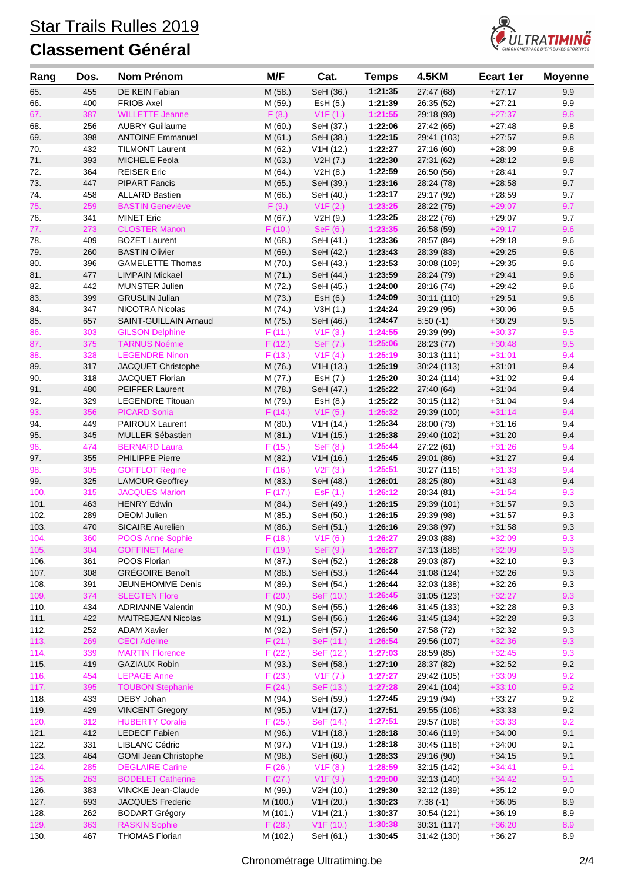

| Rang         | Dos.       | Nom Prénom                                      | M/F                 | Cat.                   | <b>Temps</b>       | <b>4.5KM</b>              | <b>Ecart 1er</b>     | <b>Moyenne</b> |
|--------------|------------|-------------------------------------------------|---------------------|------------------------|--------------------|---------------------------|----------------------|----------------|
| 65.          | 455        | DE KEIN Fabian                                  | M (58.)             | SeH (36.)              | 1:21:35            | 27:47 (68)                | $+27:17$             | 9.9            |
| 66.          | 400        | <b>FRIOB Axel</b>                               | M (59.)             | EsH (5.)               | 1:21:39            | 26:35 (52)                | $+27:21$             | 9.9            |
| 67.          | 387        | <b>WILLETTE Jeanne</b>                          | F(8.)               | V1F(1.)                | 1:21:55            | 29:18 (93)                | $+27:37$             | 9.8            |
| 68.          | 256        | <b>AUBRY Guillaume</b>                          | M (60.)             | SeH (37.)              | 1:22:06            | 27:42 (65)                | $+27:48$             | 9.8            |
| 69.          | 398        | <b>ANTOINE Emmanuel</b>                         | M (61.)             | SeH (38.)              | 1:22:15            | 29:41 (103)               | $+27:57$             | 9.8            |
| 70.          | 432        | <b>TILMONT Laurent</b>                          | M (62.)             | V1H (12.)              | 1:22:27            | 27:16 (60)                | $+28:09$             | 9.8            |
| 71.          | 393        | <b>MICHELE Feola</b>                            | M(63.)              | V2H (7.)               | 1:22:30            | 27:31 (62)                | $+28:12$             | 9.8<br>9.7     |
| 72.<br>73.   | 364<br>447 | <b>REISER Eric</b><br><b>PIPART Fancis</b>      | M (64.)<br>M (65.)  | V2H(8.)<br>SeH (39.)   | 1:22:59<br>1:23:16 | 26:50 (56)<br>28:24 (78)  | $+28:41$<br>$+28:58$ | 9.7            |
| 74.          | 458        | <b>ALLARD Bastien</b>                           | M (66.)             | SeH (40.)              | 1:23:17            | 29:17 (92)                | $+28.59$             | 9.7            |
| 75.          | 259        | <b>BASTIN Geneviève</b>                         | F(9.)               | V1F(2.)                | 1:23:25            | 28:22 (75)                | $+29:07$             | 9.7            |
| 76.          | 341        | <b>MINET Eric</b>                               | M (67.)             | V2H(9.)                | 1:23:25            | 28:22 (76)                | $+29:07$             | 9.7            |
| 77.          | 273        | <b>CLOSTER Manon</b>                            | F(10.)              | SeF (6.)               | 1:23:35            | 26:58 (59)                | $+29:17$             | 9.6            |
| 78.          | 409        | <b>BOZET Laurent</b>                            | M (68.)             | SeH (41.)              | 1:23:36            | 28:57 (84)                | $+29:18$             | 9.6            |
| 79.          | 260        | <b>BASTIN Olivier</b>                           | M (69.)             | SeH (42.)              | 1:23:43            | 28:39 (83)                | $+29.25$             | 9.6            |
| 80.          | 396        | <b>GAMELETTE Thomas</b>                         | M (70.)             | SeH (43.)              | 1:23:53            | 30:08 (109)               | $+29.35$             | 9.6            |
| 81.          | 477        | <b>LIMPAIN Mickael</b>                          | M (71.)             | SeH (44.)              | 1:23:59            | 28:24 (79)                | $+29:41$             | 9.6            |
| 82.          | 442        | MUNSTER Julien                                  | M (72.)             | SeH (45.)              | 1:24:00            | 28:16 (74)                | $+29.42$             | 9.6            |
| 83.          | 399        | <b>GRUSLIN Julian</b>                           | M (73.)             | Est (6.)               | 1:24:09            | 30:11 (110)               | $+29.51$             | 9.6            |
| 84.          | 347        | NICOTRA Nicolas                                 | M (74.)             | V3H(1.)                | 1:24:24            | 29:29 (95)                | $+30:06$             | 9.5            |
| 85.          | 657        | SAINT-GUILLAIN Arnaud                           | M (75.)             | SeH (46.)              | 1:24:47<br>1:24:55 | $5:50(-1)$                | $+30.29$             | 9.5            |
| 86.<br>87.   | 303<br>375 | <b>GILSON Delphine</b><br><b>TARNUS Noémie</b>  | F(11.)<br>F(12.)    | V1F(3.)<br>SeF (7.)    | 1:25:06            | 29:39 (99)<br>28:23 (77)  | $+30:37$<br>$+30:48$ | 9.5<br>9.5     |
| 88.          | 328        | <b>LEGENDRE Ninon</b>                           | F(13.)              | V1F(4.)                | 1:25:19            | 30:13(111)                | $+31:01$             | 9.4            |
| 89.          | 317        | JACQUET Christophe                              | M (76.)             | V1H(13.)               | 1:25:19            | 30:24 (113)               | $+31:01$             | 9.4            |
| 90.          | 318        | JACQUET Florian                                 | M (77.)             | EsH (7.)               | 1:25:20            | 30:24 (114)               | $+31:02$             | 9.4            |
| 91.          | 480        | PEIFFER Laurent                                 | M (78.)             | SeH (47.)              | 1:25:22            | 27:40 (64)                | $+31:04$             | 9.4            |
| 92.          | 329        | <b>LEGENDRE Titouan</b>                         | M (79.)             | EsH (8.)               | 1:25:22            | 30:15 (112)               | $+31:04$             | 9.4            |
| 93.          | 356        | <b>PICARD Sonia</b>                             | F(14.)              | V1F(5.)                | 1:25:32            | 29:39 (100)               | $+31:14$             | 9.4            |
| 94.          | 449        | PAIROUX Laurent                                 | M (80.)             | V1H (14.)              | 1:25:34            | 28:00 (73)                | $+31:16$             | 9.4            |
| 95.          | 345        | <b>MULLER Sébastien</b>                         | M(81.)              | V1H(15.)               | 1:25:38            | 29:40 (102)               | $+31:20$             | 9.4            |
| 96.          | 474        | <b>BERNARD Laura</b>                            | F(15.)              | SeF (8.)               | 1:25:44            | 27:22 (61)                | $+31:26$             | 9.4            |
| 97.          | 355        | PHILIPPE Pierre                                 | M (82.)             | V1H(16.)               | 1:25:45            | 29:01 (86)                | $+31:27$             | 9.4            |
| 98.          | 305        | <b>GOFFLOT Regine</b>                           | F(16.)              | V2F(3.)                | 1:25:51            | 30:27 (116)               | $+31:33$             | 9.4            |
| 99.<br>100.  | 325<br>315 | <b>LAMOUR Geoffrey</b><br><b>JACQUES Marion</b> | M (83.)<br>F(17.)   | SeH (48.)<br>ESF(1.)   | 1:26:01<br>1:26:12 | 28:25 (80)<br>28:34 (81)  | $+31:43$<br>$+31:54$ | 9.4<br>9.3     |
| 101.         | 463        | <b>HENRY Edwin</b>                              | M (84.)             | SeH (49.)              | 1:26:15            | 29:39 (101)               | $+31:57$             | 9.3            |
| 102.         | 289        | <b>DEOM Julien</b>                              | M (85.)             | SeH (50.)              | 1:26:15            | 29:39 (98)                | $+31.57$             | 9.3            |
| 103.         | 470        | <b>SICAIRE Aurelien</b>                         | M (86.)             | SeH (51.)              | 1:26:16            | 29:38 (97)                | $+31:58$             | 9.3            |
| 104.         | 360        | POOS Anne Sophie                                | F(18.)              | V1F(6.)                | 1:26:27            | 29:03 (88)                | $+32:09$             | 9.3            |
| 105.         | 304        | <b>GOFFINET Marie</b>                           | F(19.)              | SeF (9.)               | 1:26:27            | 37:13 (188)               | $+32:09$             | 9.3            |
| 106.         | 361        | POOS Florian                                    | M (87.)             | SeH (52.)              | 1:26:28            | 29:03 (87)                | $+32:10$             | 9.3            |
| 107.         | 308        | <b>GRÉGOIRE Benoît</b>                          | M (88.)             | SeH (53.)              | 1:26:44            | 31:08 (124)               | $+32:26$             | 9.3            |
| 108.         | 391        | JEUNEHOMME Denis                                | M (89.)             | SeH (54.)              | 1:26:44            | 32:03 (138)               | $+32:26$             | 9.3            |
| 109.         | 374        | <b>SLEGTEN Flore</b>                            | F(20.)              | SeF (10.)              | 1:26:45            | 31:05(123)                | $+32:27$             | 9.3            |
| 110.         | 434        | <b>ADRIANNE Valentin</b>                        | M (90.)             | SeH (55.)              | 1:26:46            | 31:45 (133)               | $+32:28$             | 9.3            |
| 111.         | 422        | <b>MAITREJEAN Nicolas</b>                       | M (91.)             | SeH (56.)              | 1:26:46            | 31:45(134)                | $+32:28$             | 9.3            |
| 112.<br>113. | 252<br>269 | <b>ADAM Xavier</b>                              | M (92.)<br>F(21.)   | SeH (57.)              | 1:26:50<br>1:26:54 | 27:58 (72)                | $+32:32$<br>$+32:36$ | 9.3<br>9.3     |
| 114.         | 339        | <b>CECI Adeline</b><br><b>MARTIN Florence</b>   | F(22.)              | SeF (11.)<br>SeF (12.) | 1:27:03            | 29:56 (107)<br>28:59 (85) | $+32:45$             | 9.3            |
| 115.         | 419        | <b>GAZIAUX Robin</b>                            | M (93.)             | SeH (58.)              | 1:27:10            | 28:37 (82)                | $+32:52$             | 9.2            |
| 116.         | 454        | <b>LEPAGE Anne</b>                              | F(23.)              | V1F (7.)               | 1:27:27            | 29:42 (105)               | $+33:09$             | 9.2            |
| 117.         | 395        | <b>TOUBON Stephanie</b>                         | F(24.)              | SeF (13.)              | 1:27:28            | 29:41 (104)               | $+33:10$             | 9.2            |
| 118.         | 433        | DEBY Johan                                      | M (94.)             | SeH (59.)              | 1:27:45            | 29:19 (94)                | $+33:27$             | 9.2            |
| 119.         | 429        | <b>VINCENT Gregory</b>                          | M (95.)             | V1H (17.)              | 1:27:51            | 29:55 (106)               | $+33.33$             | $9.2\,$        |
| 120.         | 312        | <b>HUBERTY Coralie</b>                          | F(25.)              | SeF (14.)              | 1:27:51            | 29:57 (108)               | $+33:33$             | 9.2            |
| 121.         | 412        | <b>LEDECF Fabien</b>                            | M (96.)             | V1H(18.)               | 1:28:18            | 30:46 (119)               | $+34:00$             | 9.1            |
| 122.         | 331        | LIBLANC Cédric                                  | M (97.)             | V1H (19.)              | 1:28:18            | 30:45 (118)               | $+34:00$             | 9.1            |
| 123.         | 464        | <b>GOMI Jean Christophe</b>                     | M (98.)             | SeH (60.)              | 1:28:33            | 29:16 (90)                | $+34:15$             | 9.1            |
| 124.         | 285        | <b>DEGLAIRE Carine</b>                          | F(26.)              | V1F(8.)                | 1:28:59            | 32:15 (142)               | $+34:41$             | 9.1            |
| 125.         | 263        | <b>BODELET Catherine</b>                        | F(27.)              | V1F(9.)                | 1:29:00            | 32:13 (140)               | $+34:42$             | 9.1            |
| 126.<br>127. | 383<br>693 | VINCKE Jean-Claude<br>JACQUES Frederic          | M (99.)<br>M (100.) | V2H (10.)<br>V1H (20.) | 1:29:30<br>1:30:23 | 32:12 (139)<br>$7:38(-1)$ | $+35:12$<br>$+36:05$ | 9.0<br>8.9     |
| 128.         | 262        | <b>BODART Grégory</b>                           | M (101.)            | V1H (21.)              | 1:30:37            | 30:54 (121)               | $+36.19$             | 8.9            |
| 129.         | 363        | <b>RASKIN Sophie</b>                            | F(28.)              | V1F(10.)               | 1:30:38            | 30:31 (117)               | $+36:20$             | 8.9            |
| 130.         | 467        | <b>THOMAS Florian</b>                           | M (102.)            | SeH (61.)              | 1:30:45            | 31:42 (130)               | $+36:27$             | 8.9            |
|              |            |                                                 |                     |                        |                    |                           |                      |                |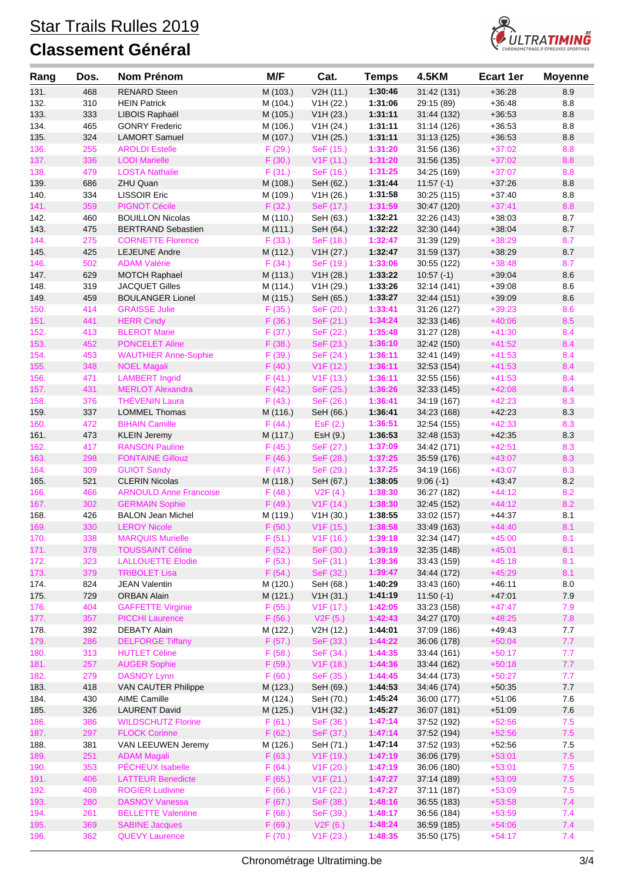

| Rang         | Dos.       | <b>Nom Prénom</b>                                | M/F              | Cat.                   | <b>Temps</b>       | <b>4.5KM</b>               | <b>Ecart 1er</b>     | <b>Moyenne</b> |
|--------------|------------|--------------------------------------------------|------------------|------------------------|--------------------|----------------------------|----------------------|----------------|
| 131.         | 468        | <b>RENARD Steen</b>                              | M (103.)         | V2H (11.)              | 1:30:46            | 31:42 (131)                | $+36:28$             | 8.9            |
| 132.         | 310        | <b>HEIN Patrick</b>                              | M (104.)         | V1H (22.)              | 1:31:06            | 29:15 (89)                 | $+36.48$             | 8.8            |
| 133.         | 333        | LIBOIS Raphaël                                   | M (105.)         | V1H (23.)              | 1:31:11            | 31:44 (132)                | $+36.53$             | 8.8            |
| 134.         | 465        | <b>GONRY Frederic</b>                            | M (106.)         | V1H (24.)              | 1:31:11            | 31:14 (126)                | $+36:53$             | 8.8            |
| 135.         | 324        | <b>LAMORT Samuel</b>                             | M (107.)         | V1H (25.)              | 1:31:11            | 31:13 (125)                | $+36.53$             | 8.8            |
| 136.         | 255        | <b>AROLDI Estelle</b>                            | F(29.)           | SeF (15.)              | 1:31:20            | 31:56 (136)                | $+37:02$             | 8.8            |
| 137.         | 336        | <b>LODI</b> Marielle                             | F(30.)           | V1F(11.)               | 1:31:20            | 31:56 (135)                | $+37:02$             | 8.8            |
| 138.         | 479        | <b>LOSTA Nathalie</b>                            | F(31.)           | SeF (16.)              | 1:31:25            | 34:25 (169)                | $+37:07$             | 8.8            |
| 139.         | 686        | ZHU Quan                                         | M (108.)         | SeH (62.)              | 1:31:44            | $11:57(-1)$                | $+37:26$             | 8.8            |
| 140.         | 334        | <b>LISSOIR Eric</b>                              | M (109.)         | V <sub>1</sub> H (26.) | 1:31:58            | 30:25 (115)                | $+37:40$             | 8.8            |
| 141.         | 359        | <b>PIGNOT Cécile</b>                             | F(32.)           | SeF (17.)              | 1:31:59            | 30:47 (120)                | $+37:41$             | 8.8            |
| 142.         | 460        | <b>BOUILLON Nicolas</b>                          | M (110.)         | SeH (63.)              | 1:32:21            | 32:26 (143)                | $+38.03$             | 8.7            |
| 143.         | 475        | <b>BERTRAND Sebastien</b>                        | M (111.)         | SeH (64.)              | 1:32:22            | 32:30 (144)                | $+38:04$             | 8.7            |
| 144.         | 275        | <b>CORNETTE Florence</b>                         | F(33.)           | SeF (18.)              | 1:32:47            | 31:39 (129)                | $+38:29$             | 8.7            |
| 145.         | 425        | <b>LEJEUNE Andre</b>                             | M (112.)         | V1H (27.)              | 1:32:47            | 31:59 (137)                | $+38:29$             | 8.7            |
| 146.         | 502        | <b>ADAM Valérie</b>                              | F(34.)           | SeF (19.)              | 1:33:06            | 30:55 (122)                | $+38:48$             | 8.7            |
| 147.         | 629        | <b>MOTCH Raphael</b>                             | M (113.)         | V1H (28.)              | 1:33:22            | $10:57(-1)$                | $+39.04$             | 8.6            |
| 148.         | 319        | <b>JACQUET Gilles</b>                            | M (114.)         | V1H (29.)              | 1:33:26            | 32:14 (141)                | $+39:08$             | 8.6            |
| 149.         | 459        | <b>BOULANGER Lionel</b>                          | M (115.)         | SeH (65.)              | 1:33:27            | 32:44 (151)                | $+39:09$             | 8.6            |
| 150.         | 414        | <b>GRAISSE Julie</b>                             | F(35.)           | SeF (20.)              | 1:33:41            | 31:26 (127)                | $+39:23$             | 8.6            |
| 151.         | 441        | <b>HERR Cindy</b>                                | F(36.)           | SeF (21.)              | 1:34:24            | 32:33 (146)                | $+40:06$             | 8.5            |
| 152.         | 413        | <b>BLEROT Marie</b>                              | F(37.)           | SeF (22.)              | 1:35:48            | 31:27 (128)                | $+41:30$             | 8.4            |
| 153.         | 452        | <b>PONCELET Aline</b>                            | F(38.)           | SeF (23.)              | 1:36:10            | 32:42 (150)                | $+41:52$             | 8.4            |
| 154.         | 453        | <b>WAUTHIER Anne-Sophie</b>                      | F(39.)           | SeF (24.)              | 1:36:11            | 32:41 (149)                | $+41:53$             | 8.4<br>8.4     |
| 155.<br>156. | 348<br>471 | <b>NOEL Magali</b><br><b>LAMBERT</b> Ingrid      | F(40.)           | V1F(12.)               | 1:36:11<br>1:36:11 | 32:53 (154)                | $+41:53$<br>$+41:53$ | 8.4            |
|              | 431        |                                                  | F(41.)           | V1F(13.)               | 1:36:26            | 32:55 (156)                | $+42:08$             | 8.4            |
| 157.<br>158. | 376        | <b>MERLOT Alexandra</b><br><b>THÉVENIN Laura</b> | F(42.)<br>F(43.) | SeF (25.)              | 1:36:41            | 32:33 (145)                | $+42:23$             | 8.3            |
| 159.         | 337        | <b>LOMMEL Thomas</b>                             | M (116.)         | SeF (26.)<br>SeH (66.) | 1:36:41            | 34:19 (167)<br>34:23 (168) | $+42:23$             | 8.3            |
| 160.         | 472        | <b>BIHAIN Camille</b>                            | F(44.)           | ESF(2.)                | 1:36:51            | 32:54 (155)                | $+42:33$             | 8.3            |
| 161.         | 473        | <b>KLEIN Jeremy</b>                              | M (117.)         | EsH (9.)               | 1:36:53            | 32:48 (153)                | $+42:35$             | 8.3            |
| 162.         | 417        | <b>RANSON Pauline</b>                            | F(45.)           | SeF (27.)              | 1:37:09            | 34:42 (171)                | $+42:51$             | 8.3            |
| 163.         | 298        | <b>FONTAINE Gillouz</b>                          | F(46.)           | SeF (28.)              | 1:37:25            | 35:59 (176)                | $+43:07$             | 8.3            |
| 164.         | 309        | <b>GUIOT Sandy</b>                               | F(47.)           | SeF (29.)              | 1:37:25            | 34:19 (166)                | $+43:07$             | 8.3            |
| 165.         | 521        | <b>CLERIN Nicolas</b>                            | M (118.)         | SeH (67.)              | 1:38:05            | $9:06(-1)$                 | $+43.47$             | 8.2            |
| 166.         | 466        | <b>ARNOULD Anne Francoise</b>                    | F(48.)           | V2F(4.)                | 1:38:30            | 36:27 (182)                | $+44:12$             | 8.2            |
| 167.         | 302        | <b>GERMAIN Sophie</b>                            | F(49.)           | V1F(14.)               | 1:38:30            | 32:45 (152)                | $+44:12$             | 8.2            |
| 168.         | 426        | <b>BALON Jean Michel</b>                         | M (119.)         | V1H (30.)              | 1:38:55            | 33:02 (157)                | $+44.37$             | 8.1            |
| 169.         | 330        | <b>LEROY Nicole</b>                              | F(50.)           | V1F(15.)               | 1:38:58            | 33:49 (163)                | $+44:40$             | 8.1            |
| 170.         | 338        | <b>MARQUIS Murielle</b>                          | F(51.)           | V <sub>1</sub> F (16.) | 1:39:18            | 32:34 (147)                | $+45:00$             | 8.1            |
| 171.         | 378        | <b>TOUSSAINT Céline</b>                          | F(52.)           | SeF (30.)              | 1:39:19            | 32:35 (148)                | $+45:01$             | 8.1            |
| 172.         | 323        | <b>LALLOUETTE Elodie</b>                         | F(53.)           | SeF (31.)              | 1:39:36            | 33:43 (159)                | $+45:18$             | 8.1            |
| 173.         | 379        | <b>TRIBOLET Lisa</b>                             | F(54.)           | SeF (32.)              | 1:39:47            | 34:44 (172)                | $+45:29$             | 8.1            |
| 174.         | 824        | <b>JEAN Valentin</b>                             | M (120.)         | SeH (68.)              | 1:40:29            | 33:43 (160)                | $+46:11$             | $8.0\,$        |
| 175.         | 729        | <b>ORBAN Alain</b>                               | M (121.)         | V1H (31.)              | 1:41:19            | $11:50(-1)$                | $+47:01$             | 7.9            |
| 176.         | 404        | <b>GAFFETTE Virginie</b>                         | F(55.)           | V <sub>1</sub> F (17.) | 1:42:05            | 33:23 (158)                | $+47:47$             | 7.9            |
| 177.         | 357        | <b>PICCHI Laurence</b>                           | F(56.)           | V2F(5.)                | 1:42:43            | 34:27 (170)                | $+48:25$             | 7.8            |
| 178.         | 392        | DEBATY Alain                                     | M (122.)         | V2H (12.)              | 1:44:01            | 37:09 (186)                | $+49:43$             | 7.7            |
| 179.         | 286        | <b>DELFORGE Tiffany</b>                          | F(57.)           | SeF (33.)              | 1:44:22            | 36:06 (178)                | $+50:04$             | 7.7            |
| 180.         | 313        | <b>HUTLET Céline</b>                             | F(58.)           | SeF (34.)              | 1:44:35            | 33:44 (161)                | $+50:17$             | 7.7            |
| 181.         | 257        | <b>AUGER Sophie</b>                              | F(59.)           | V <sub>1</sub> F (18.) | 1:44:36            | 33:44 (162)                | $+50:18$             | 7.7            |
| 182.         | 279        | <b>DASNOY Lynn</b>                               | F(60.)           | SeF (35.)              | 1:44:45            | 34:44 (173)                | $+50:27$             | 7.7            |
| 183.         | 418        | <b>VAN CAUTER Philippe</b>                       | M (123.)         | SeH (69.)              | 1:44:53            | 34:46 (174)                | $+50:35$             | 7.7            |
| 184.         | 430        | <b>AIME Camille</b>                              | M (124.)         | SeH (70.)              | 1:45:24            | 36:00 (177)                | $+51:06$             | 7.6            |
| 185.         | 326        | <b>LAURENT David</b>                             | M (125.)         | V1H (32.)              | 1:45:27            | 36:07 (181)                | $+51:09$             | $7.6\,$        |
| 186.         | 386        | <b>WILDSCHUTZ Florine</b>                        | F(61.)           | SeF (36.)              | 1:47:14            | 37:52 (192)                | $+52:56$             | 7.5            |
| 187.         | 297        | <b>FLOCK Corinne</b>                             | F(62.)           | SeF (37.)              | 1:47:14            | 37:52 (194)                | $+52:56$             | $7.5$          |
| 188.         | 381        | VAN LEEUWEN Jeremy                               | M (126.)         | SeH (71.)              | 1:47:14            | 37:52 (193)                | $+52:56$             | 7.5            |
| 189.         | 251        | <b>ADAM Magali</b>                               | F(63.)           | V <sub>1</sub> F (19.) | 1:47:19            | 36:06 (179)                | $+53:01$             | $7.5$          |
| 190.         | 353        | PÉCHEUX Isabelle                                 | F(64.)           | V1F(20.)               | 1:47:19            | 36:06 (180)                | $+53:01$             | 7.5            |
| 191.         | 406        | <b>LATTEUR Benedicte</b>                         | F(65.)           | V1F(21.)               | 1:47:27            | 37:14 (189)                | $+53:09$             | 7.5            |
| 192.         | 408        | <b>ROGIER Ludivine</b>                           | F(66.)           | V1F(22.)               | 1:47:27            | 37:11 (187)                | $+53:09$             | 7.5            |
| 193.         | 280        | <b>DASNOY Vanessa</b>                            | F(67.)           | SeF (38.)              | 1:48:16            | 36:55 (183)                | $+53:58$             | 7.4            |
| 194.         | 261        | <b>BELLETTE Valentine</b>                        | F(68.)           | SeF (39.)              | 1:48:17            | 36:56 (184)                | $+53:59$             | 7.4            |
| 195.         | 369        | <b>SABINE Jacques</b>                            | F(69.)           | V2F(6.)                | 1:48:24            | 36:59 (185)                | $+54:06$             | 7.4            |
| 196.         | 362        | <b>QUEVY Laurence</b>                            | F(70.)           | V1F(23.)               | 1:48:35            | 35:50 (175)                | $+54:17$             | 7.4            |